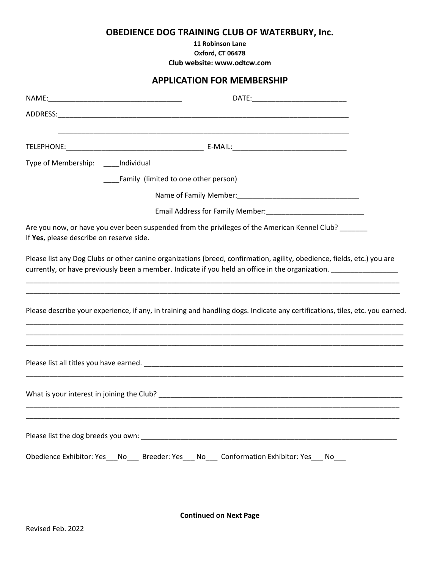## **OBEDIENCE DOG TRAINING CLUB OF WATERBURY, Inc.**

**11 Robinson Lane**

**Oxford, CT 06478**

**Club website: www.odtcw.com**

## **APPLICATION FOR MEMBERSHIP**

| Type of Membership: _____ Individual     |                                                                                                                                                                                                                                           |  |
|------------------------------------------|-------------------------------------------------------------------------------------------------------------------------------------------------------------------------------------------------------------------------------------------|--|
|                                          | ____Family (limited to one other person)                                                                                                                                                                                                  |  |
|                                          |                                                                                                                                                                                                                                           |  |
|                                          |                                                                                                                                                                                                                                           |  |
| If Yes, please describe on reserve side. | Are you now, or have you ever been suspended from the privileges of the American Kennel Club? ______                                                                                                                                      |  |
|                                          | Please list any Dog Clubs or other canine organizations (breed, confirmation, agility, obedience, fields, etc.) you are<br>currently, or have previously been a member. Indicate if you held an office in the organization. _____________ |  |
|                                          | Please describe your experience, if any, in training and handling dogs. Indicate any certifications, tiles, etc. you earned.<br>,我们也不能在这里的时候,我们也不能在这里的时候,我们也不能会在这里的时候,我们也不能会在这里的时候,我们也不能会在这里的时候,我们也不能会在这里的时候,我们也                          |  |
|                                          |                                                                                                                                                                                                                                           |  |
|                                          |                                                                                                                                                                                                                                           |  |
|                                          | Please list the dog breeds you own: example and a series of the series of the series of the series of the series of the series of the series of the series of the series of the series of the series of the series of the seri            |  |
|                                          | Obedience Exhibitor: Yes___No____ Breeder: Yes___ No____ Conformation Exhibitor: Yes___ No___                                                                                                                                             |  |

**Continued on Next Page**